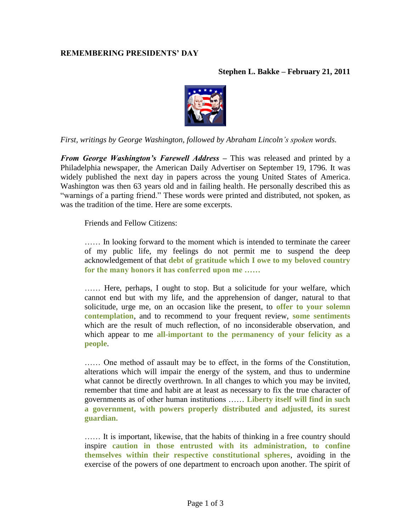## **REMEMBERING PRESIDENTS' DAY**

## **Stephen L. Bakke – February 21, 2011**



*First, writings by George Washington, followed by Abraham Lincoln's spoken words.*

*From George Washington's Farewell Address –* This was released and printed by a Philadelphia newspaper, the American Daily Advertiser on September 19, 1796. It was widely published the next day in papers across the young United States of America. Washington was then 63 years old and in failing health. He personally described this as "warnings of a parting friend." These words were printed and distributed, not spoken, as was the tradition of the time. Here are some excerpts.

Friends and Fellow Citizens:

…… In looking forward to the moment which is intended to terminate the career of my public life, my feelings do not permit me to suspend the deep acknowledgement of that **debt of gratitude which I owe to my beloved country for the many honors it has conferred upon me ……**

…… Here, perhaps, I ought to stop. But a solicitude for your welfare, which cannot end but with my life, and the apprehension of danger, natural to that solicitude, urge me, on an occasion like the present, to **offer to your solemn contemplation**, and to recommend to your frequent review, **some sentiments** which are the result of much reflection, of no inconsiderable observation, and which appear to me **all-important to the permanency of your felicity as a people**.

…… One method of assault may be to effect, in the forms of the Constitution, alterations which will impair the energy of the system, and thus to undermine what cannot be directly overthrown. In all changes to which you may be invited, remember that time and habit are at least as necessary to fix the true character of governments as of other human institutions …… **Liberty itself will find in such a government, with powers properly distributed and adjusted, its surest guardian.**

…… It is important, likewise, that the habits of thinking in a free country should inspire **caution in those entrusted with its administration, to confine themselves within their respective constitutional spheres**, avoiding in the exercise of the powers of one department to encroach upon another. The spirit of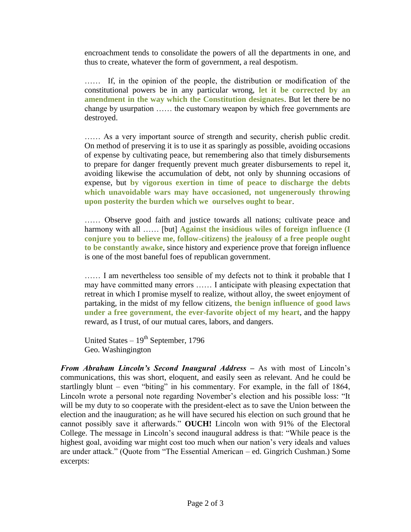encroachment tends to consolidate the powers of all the departments in one, and thus to create, whatever the form of government, a real despotism.

…… If, in the opinion of the people, the distribution or modification of the constitutional powers be in any particular wrong, **let it be corrected by an amendment in the way which the Constitution designates**. But let there be no change by usurpation …… the customary weapon by which free governments are destroyed.

…… As a very important source of strength and security, cherish public credit. On method of preserving it is to use it as sparingly as possible, avoiding occasions of expense by cultivating peace, but remembering also that timely disbursements to prepare for danger frequently prevent much greater disbursements to repel it, avoiding likewise the accumulation of debt, not only by shunning occasions of expense, but **by vigorous exertion in time of peace to discharge the debts which unavoidable wars may have occasioned, not ungenerously throwing upon posterity the burden which we ourselves ought to bear**.

…… Observe good faith and justice towards all nations; cultivate peace and harmony with all …… [but] **Against the insidious wiles of foreign influence** (I **conjure you to believe me, follow-citizens) the jealousy of a free people ought to be constantly awake**, since history and experience prove that foreign influence is one of the most baneful foes of republican government.

…… I am nevertheless too sensible of my defects not to think it probable that I may have committed many errors …… I anticipate with pleasing expectation that retreat in which I promise myself to realize, without alloy, the sweet enjoyment of partaking, in the midst of my fellow citizens, **the benign influence of good laws under a free government, the ever-favorite object of my heart**, and the happy reward, as I trust, of our mutual cares, labors, and dangers.

United States  $-19^{th}$  September, 1796 Geo. Washingington

*From Abraham Lincoln's Second Inaugural Address –* As with most of Lincoln's communications, this was short, eloquent, and easily seen as relevant. And he could be startlingly blunt – even "biting" in his commentary. For example, in the fall of 1864, Lincoln wrote a personal note regarding November's election and his possible loss: "It will be my duty to so cooperate with the president-elect as to save the Union between the election and the inauguration; as he will have secured his election on such ground that he cannot possibly save it afterwards." **OUCH!** Lincoln won with 91% of the Electoral College. The message in Lincoln's second inaugural address is that: "While peace is the highest goal, avoiding war might cost too much when our nation's very ideals and values are under attack." (Quote from "The Essential American – ed. Gingrich Cushman.) Some excerpts: